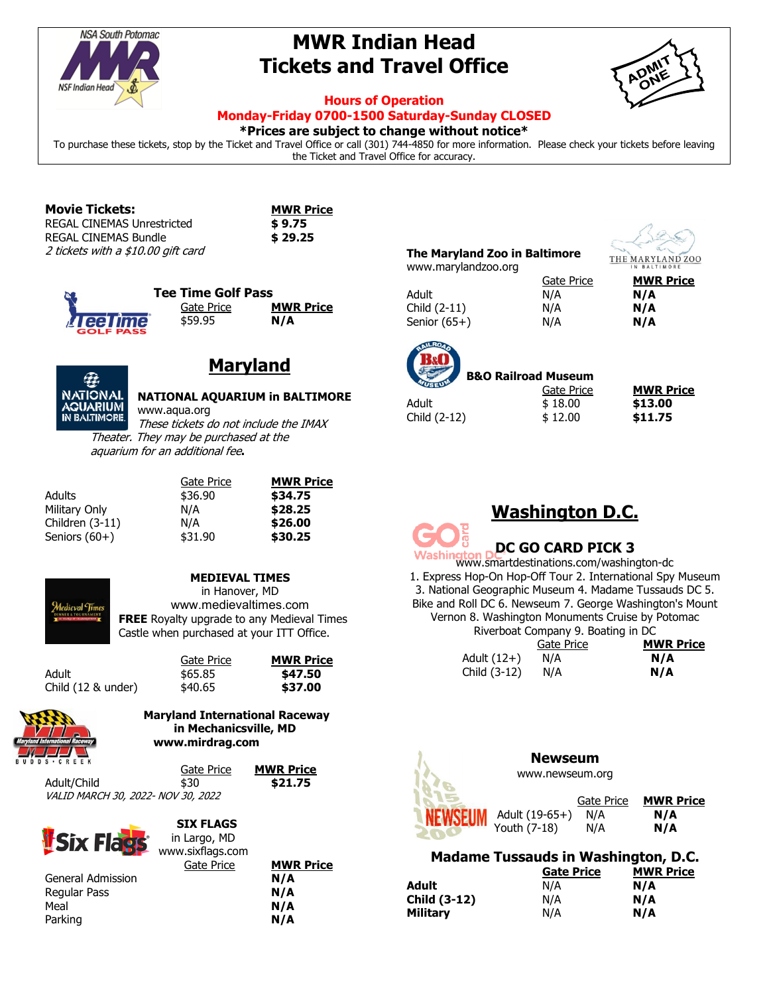

# **MWR Indian Head Tickets and Travel Office**



## **Hours of Operation**

### **Monday-Friday 0700-1500 Saturday-Sunday CLOSED**

**\*Prices are subject to change without notice\***

To purchase these tickets, stop by the Ticket and Travel Office or call (301) 744-4850 for more information. Please check your tickets before leaving the Ticket and Travel Office for accuracy.

| <b>Movie Tickets:</b>              | <b>MWRP</b> |
|------------------------------------|-------------|
| REGAL CINEMAS Unrestricted         | \$9.75      |
| REGAL CINEMAS Bundle               | \$29.25     |
| 2 tickets with a \$10.00 gift card |             |

| <b>MWR Price</b> |
|------------------|
| \$ 9.75          |
| \$ 29.25         |



## **Maryland**

| <b>NATIONAL</b> |
|-----------------|
| <b>AGUARIUM</b> |
| IN BALTIMORE.   |

#### **NATIONAL AQUARIUM in BALTIMORE** www.aqua.org

Gate Price **MWR Price** Adults \$36.90 **\$34.75** Military Only N/A **\$28.25** Children (3-11) N/A **\$26.00** Seniors (60+) \$31.90 **\$30.25**

These tickets do not include the IMAX Theater. They may be purchased at the aquarium for an additional fee**.**

| Adults          |
|-----------------|
| Military Only   |
| Children (3-11) |
| Seniors $(60+)$ |



## **MEDIEVAL TIMES**

in Hanover, MD www.medievaltimes.com **FREE** Royalty upgrade to any Medieval Times Castle when purchased at your ITT Office.

**Price** 

|                    | Gate Price | <b>MWR Pri</b> |
|--------------------|------------|----------------|
| Adult              | \$65.85    | \$47.50        |
| Child (12 & under) | \$40.65    | \$37.00        |

#### **Maryland International Raceway in Mechanicsville, MD www.mirdrag.com**

|                                           | Gate Price | <b>MWR Price</b> |
|-------------------------------------------|------------|------------------|
| Adult/Child                               | \$30       | \$21.75          |
| <i>VALID MARCH 30, 2022- NOV 30, 2022</i> |            |                  |

| <b>SIATION</b>    | www.sixflags.com |                  |
|-------------------|------------------|------------------|
|                   | Gate Price       | <b>MWR Price</b> |
| General Admission |                  | N/A              |
| Regular Pass      |                  | N/A              |
| Meal              |                  | N/A              |
| Parking           |                  | N/A              |

 **SIX FLAGS** in Largo, MD

## **The Maryland Zoo in Baltimore** www.marylandzoo.org



Adult **N/A N/A** Child (2-11) N/A **N/A** Senior (65+) **N/A N/A** 

Gate Price **MWR Price**



 **B&O Railroad Museum** Adult \$ 18.00 **\$13.00** Child (2-12) \$ 12.00 **\$11.75**

| Gate Price | <b>MWR Price</b> |
|------------|------------------|
| \$18.00    | \$13.00          |
| \$12.00    | \$11.75          |

## **Washington D.C.**

# **Washington DDC GO CARD PICK 3**

www.smartdestinations.com/washington-dc 1. Express Hop-On Hop-Off Tour 2. International Spy Museum 3. National Geographic Museum 4. Madame Tussauds DC 5. Bike and Roll DC 6. Newseum 7. George Washington's Mount Vernon 8. Washington Monuments Cruise by Potomac Riverboat Company 9. Boating in DC

|               | Gate Price | <b>MWR Price</b> |
|---------------|------------|------------------|
| Adult $(12+)$ | N/A        | N/A              |
| Child (3-12)  | N/A        | N/A              |



 Gate Price **MWR Price** Adult (19-65+) N/A **N/A**

Youth (7-18) N/A **N/A**

## **Madame Tussauds in Washington, D.C.**

**Newseum** www.newseum.org

| N/A |
|-----|
| N/A |
| N/A |
|     |